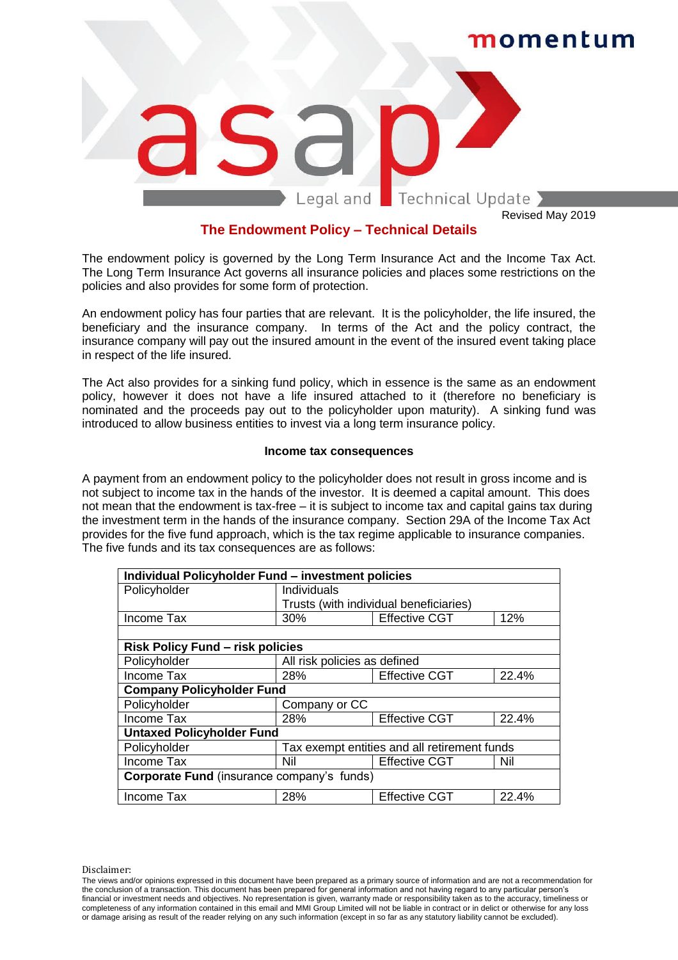

Revised May 2019

#### **The Endowment Policy – Technical Details**

The endowment policy is governed by the Long Term Insurance Act and the Income Tax Act. The Long Term Insurance Act governs all insurance policies and places some restrictions on the policies and also provides for some form of protection.

An endowment policy has four parties that are relevant. It is the policyholder, the life insured, the beneficiary and the insurance company. In terms of the Act and the policy contract, the insurance company will pay out the insured amount in the event of the insured event taking place in respect of the life insured.

The Act also provides for a sinking fund policy, which in essence is the same as an endowment policy, however it does not have a life insured attached to it (therefore no beneficiary is nominated and the proceeds pay out to the policyholder upon maturity). A sinking fund was introduced to allow business entities to invest via a long term insurance policy.

#### **Income tax consequences**

A payment from an endowment policy to the policyholder does not result in gross income and is not subject to income tax in the hands of the investor. It is deemed a capital amount. This does not mean that the endowment is tax-free – it is subject to income tax and capital gains tax during the investment term in the hands of the insurance company. Section 29A of the Income Tax Act provides for the five fund approach, which is the tax regime applicable to insurance companies. The five funds and its tax consequences are as follows:

| Individual Policyholder Fund - investment policies |                                              |                      |       |  |  |
|----------------------------------------------------|----------------------------------------------|----------------------|-------|--|--|
| Policyholder                                       | <b>Individuals</b>                           |                      |       |  |  |
|                                                    | Trusts (with individual beneficiaries)       |                      |       |  |  |
| Income Tax                                         | 30%                                          | <b>Effective CGT</b> | 12%   |  |  |
|                                                    |                                              |                      |       |  |  |
| <b>Risk Policy Fund - risk policies</b>            |                                              |                      |       |  |  |
| Policyholder                                       | All risk policies as defined                 |                      |       |  |  |
| Income Tax                                         | 28%                                          | <b>Effective CGT</b> | 22.4% |  |  |
| <b>Company Policyholder Fund</b>                   |                                              |                      |       |  |  |
| Policyholder                                       | Company or CC                                |                      |       |  |  |
| Income Tax                                         | 28%                                          | <b>Effective CGT</b> | 22.4% |  |  |
| <b>Untaxed Policyholder Fund</b>                   |                                              |                      |       |  |  |
| Policyholder                                       | Tax exempt entities and all retirement funds |                      |       |  |  |
| Income Tax                                         | Nil                                          | <b>Effective CGT</b> | Nil   |  |  |
| Corporate Fund (insurance company's funds)         |                                              |                      |       |  |  |
| Income Tax                                         | 28%                                          | <b>Effective CGT</b> | 22.4% |  |  |

Disclaimer:

The views and/or opinions expressed in this document have been prepared as a primary source of information and are not a recommendation for the conclusion of a transaction. This document has been prepared for general information and not having regard to any particular person's financial or investment needs and objectives. No representation is given, warranty made or responsibility taken as to the accuracy, timeliness or completeness of any information contained in this email and MMI Group Limited will not be liable in contract or in delict or otherwise for any loss or damage arising as result of the reader relying on any such information (except in so far as any statutory liability cannot be excluded).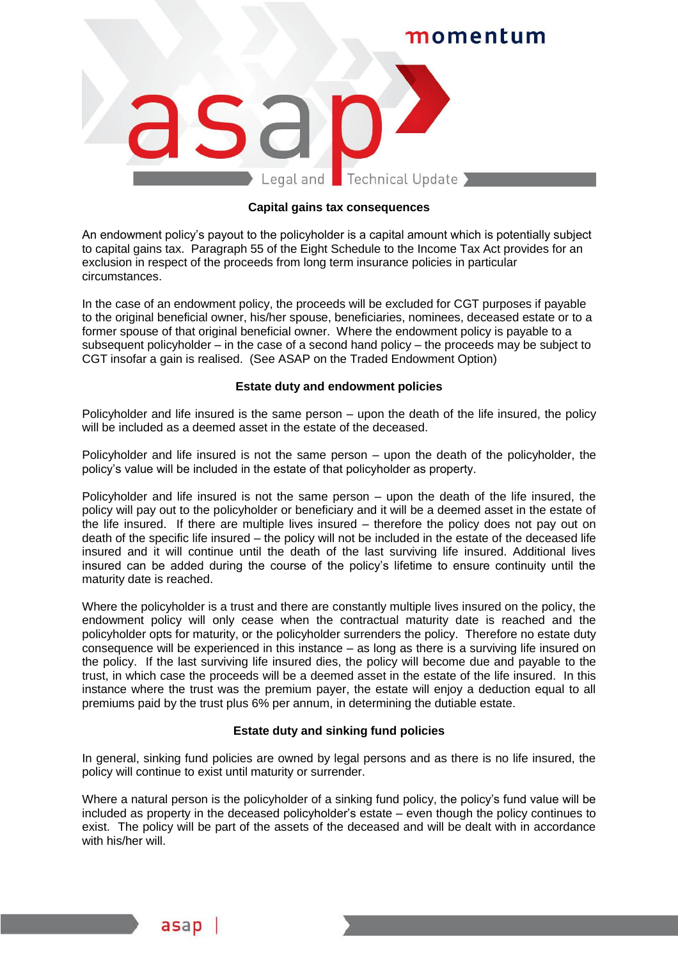## momentum Legal and Technical Update

#### **Capital gains tax consequences**

An endowment policy's payout to the policyholder is a capital amount which is potentially subject to capital gains tax. Paragraph 55 of the Eight Schedule to the Income Tax Act provides for an exclusion in respect of the proceeds from long term insurance policies in particular circumstances.

In the case of an endowment policy, the proceeds will be excluded for CGT purposes if payable to the original beneficial owner, his/her spouse, beneficiaries, nominees, deceased estate or to a former spouse of that original beneficial owner. Where the endowment policy is payable to a subsequent policyholder – in the case of a second hand policy – the proceeds may be subject to CGT insofar a gain is realised. (See ASAP on the Traded Endowment Option)

#### **Estate duty and endowment policies**

Policyholder and life insured is the same person – upon the death of the life insured, the policy will be included as a deemed asset in the estate of the deceased.

Policyholder and life insured is not the same person – upon the death of the policyholder, the policy's value will be included in the estate of that policyholder as property.

Policyholder and life insured is not the same person – upon the death of the life insured, the policy will pay out to the policyholder or beneficiary and it will be a deemed asset in the estate of the life insured. If there are multiple lives insured – therefore the policy does not pay out on death of the specific life insured – the policy will not be included in the estate of the deceased life insured and it will continue until the death of the last surviving life insured. Additional lives insured can be added during the course of the policy's lifetime to ensure continuity until the maturity date is reached.

Where the policyholder is a trust and there are constantly multiple lives insured on the policy, the endowment policy will only cease when the contractual maturity date is reached and the policyholder opts for maturity, or the policyholder surrenders the policy. Therefore no estate duty consequence will be experienced in this instance – as long as there is a surviving life insured on the policy. If the last surviving life insured dies, the policy will become due and payable to the trust, in which case the proceeds will be a deemed asset in the estate of the life insured. In this instance where the trust was the premium payer, the estate will enjoy a deduction equal to all premiums paid by the trust plus 6% per annum, in determining the dutiable estate.

#### **Estate duty and sinking fund policies**

In general, sinking fund policies are owned by legal persons and as there is no life insured, the policy will continue to exist until maturity or surrender.

Where a natural person is the policyholder of a sinking fund policy, the policy's fund value will be included as property in the deceased policyholder's estate – even though the policy continues to exist. The policy will be part of the assets of the deceased and will be dealt with in accordance with his/her will.

asap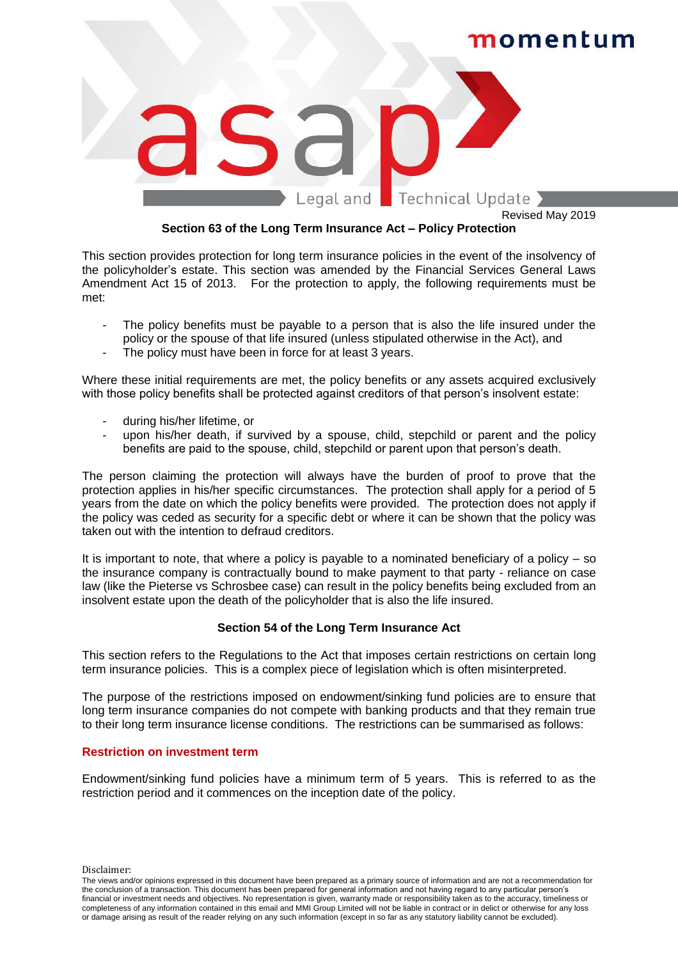

Revised May 2019

#### **Section 63 of the Long Term Insurance Act – Policy Protection**

This section provides protection for long term insurance policies in the event of the insolvency of the policyholder's estate. This section was amended by the Financial Services General Laws Amendment Act 15 of 2013. For the protection to apply, the following requirements must be met:

- The policy benefits must be payable to a person that is also the life insured under the policy or the spouse of that life insured (unless stipulated otherwise in the Act), and
- The policy must have been in force for at least 3 years.

Where these initial requirements are met, the policy benefits or any assets acquired exclusively with those policy benefits shall be protected against creditors of that person's insolvent estate:

- during his/her lifetime, or
- upon his/her death, if survived by a spouse, child, stepchild or parent and the policy benefits are paid to the spouse, child, stepchild or parent upon that person's death.

The person claiming the protection will always have the burden of proof to prove that the protection applies in his/her specific circumstances. The protection shall apply for a period of 5 years from the date on which the policy benefits were provided. The protection does not apply if the policy was ceded as security for a specific debt or where it can be shown that the policy was taken out with the intention to defraud creditors.

It is important to note, that where a policy is payable to a nominated beneficiary of a policy – so the insurance company is contractually bound to make payment to that party - reliance on case law (like the Pieterse vs Schrosbee case) can result in the policy benefits being excluded from an insolvent estate upon the death of the policyholder that is also the life insured.

#### **Section 54 of the Long Term Insurance Act**

This section refers to the Regulations to the Act that imposes certain restrictions on certain long term insurance policies. This is a complex piece of legislation which is often misinterpreted.

The purpose of the restrictions imposed on endowment/sinking fund policies are to ensure that long term insurance companies do not compete with banking products and that they remain true to their long term insurance license conditions. The restrictions can be summarised as follows:

#### **Restriction on investment term**

Endowment/sinking fund policies have a minimum term of 5 years. This is referred to as the restriction period and it commences on the inception date of the policy.

Disclaimer:

The views and/or opinions expressed in this document have been prepared as a primary source of information and are not a recommendation for the conclusion of a transaction. This document has been prepared for general information and not having regard to any particular person's financial or investment needs and objectives. No representation is given, warranty made or responsibility taken as to the accuracy, timeliness or completeness of any information contained in this email and MMI Group Limited will not be liable in contract or in delict or otherwise for any loss or damage arising as result of the reader relying on any such information (except in so far as any statutory liability cannot be excluded).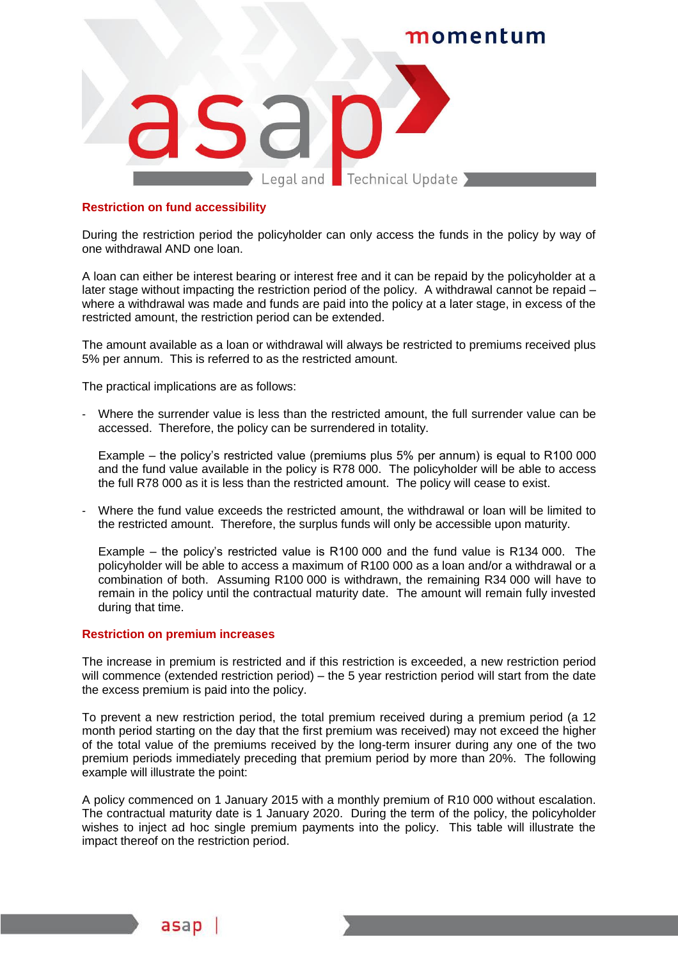

#### **Restriction on fund accessibility**

During the restriction period the policyholder can only access the funds in the policy by way of one withdrawal AND one loan.

A loan can either be interest bearing or interest free and it can be repaid by the policyholder at a later stage without impacting the restriction period of the policy. A withdrawal cannot be repaid – where a withdrawal was made and funds are paid into the policy at a later stage, in excess of the restricted amount, the restriction period can be extended.

The amount available as a loan or withdrawal will always be restricted to premiums received plus 5% per annum. This is referred to as the restricted amount.

The practical implications are as follows:

Where the surrender value is less than the restricted amount, the full surrender value can be accessed. Therefore, the policy can be surrendered in totality.

Example – the policy's restricted value (premiums plus 5% per annum) is equal to R100 000 and the fund value available in the policy is R78 000. The policyholder will be able to access the full R78 000 as it is less than the restricted amount. The policy will cease to exist.

Where the fund value exceeds the restricted amount, the withdrawal or loan will be limited to the restricted amount. Therefore, the surplus funds will only be accessible upon maturity.

Example – the policy's restricted value is R100 000 and the fund value is R134 000. The policyholder will be able to access a maximum of R100 000 as a loan and/or a withdrawal or a combination of both. Assuming R100 000 is withdrawn, the remaining R34 000 will have to remain in the policy until the contractual maturity date. The amount will remain fully invested during that time.

#### **Restriction on premium increases**

asap

The increase in premium is restricted and if this restriction is exceeded, a new restriction period will commence (extended restriction period) – the 5 year restriction period will start from the date the excess premium is paid into the policy.

To prevent a new restriction period, the total premium received during a premium period (a 12 month period starting on the day that the first premium was received) may not exceed the higher of the total value of the premiums received by the long-term insurer during any one of the two premium periods immediately preceding that premium period by more than 20%. The following example will illustrate the point:

A policy commenced on 1 January 2015 with a monthly premium of R10 000 without escalation. The contractual maturity date is 1 January 2020. During the term of the policy, the policyholder wishes to inject ad hoc single premium payments into the policy. This table will illustrate the impact thereof on the restriction period.